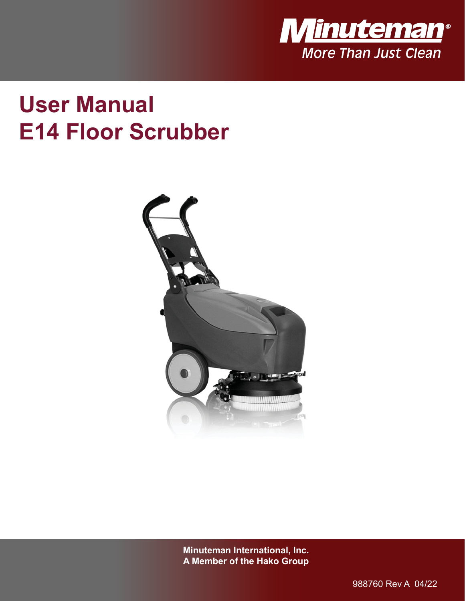

# **User Manual E14 Floor Scrubber**



**Minuteman International, Inc. A Member of the Hako Group**

988760 Rev A 04/22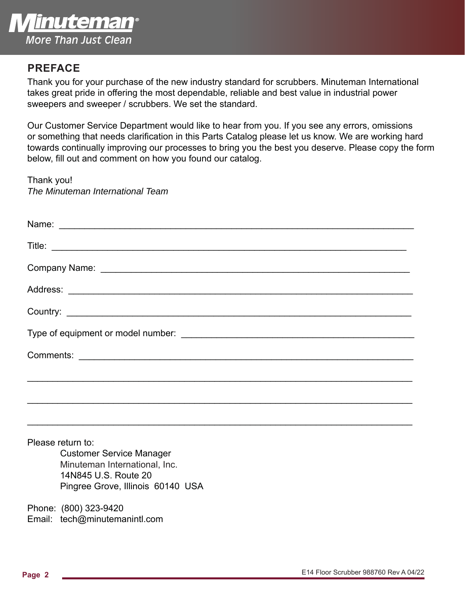

# **PREFACE**

Thank you for your purchase of the new industry standard for scrubbers. Minuteman International takes great pride in offering the most dependable, reliable and best value in industrial power sweepers and sweeper / scrubbers. We set the standard.

Our Customer Service Department would like to hear from you. If you see any errors, omissions or something that needs clarification in this Parts Catalog please let us know. We are working hard towards continually improving our processes to bring you the best you deserve. Please copy the form below, fill out and comment on how you found our catalog.

Thank you! *The Minuteman International Team*

| ,我们也不能在这里的人,我们也不能在这里的人,我们也不能在这里的人,我们也不能在这里的人,我们也不能在这里的人,我们也不能在这里的人,我们也不能在这里的人,我们也 |
|-----------------------------------------------------------------------------------|
|                                                                                   |
| Please return to:                                                                 |
| <b>Customer Service Manager</b>                                                   |
| Minuteman International, Inc.<br>14N845 U.S. Route 20                             |
| Pingree Grove, Illinois 60140 USA                                                 |
| Phone: (800) 323-9420                                                             |
| Email: tech@minutemanintl.com                                                     |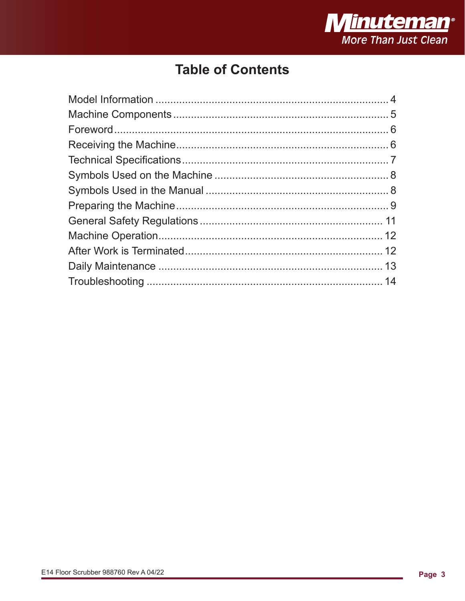

# **Table of Contents**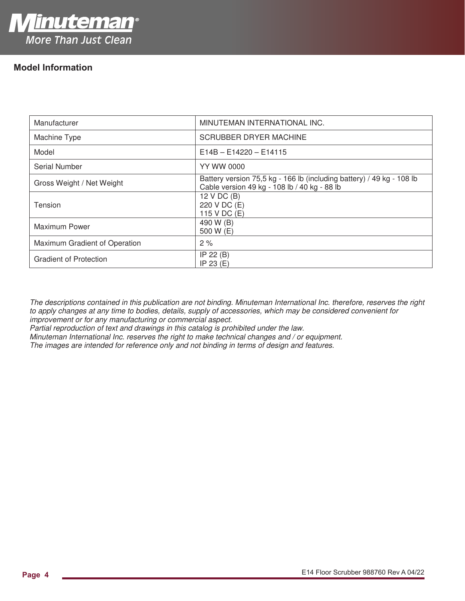

# **Model Information**

| Manufacturer                  | MINUTEMAN INTERNATIONAL INC.                                                                                          |  |  |  |
|-------------------------------|-----------------------------------------------------------------------------------------------------------------------|--|--|--|
| Machine Type                  | <b>SCRUBBER DRYER MACHINE</b>                                                                                         |  |  |  |
| Model                         | $E14B - E14220 - E14115$                                                                                              |  |  |  |
| Serial Number                 | <b>YY WW 0000</b>                                                                                                     |  |  |  |
| Gross Weight / Net Weight     | Battery version 75,5 kg - 166 lb (including battery) / 49 kg - 108 lb<br>Cable version 49 kg - 108 lb / 40 kg - 88 lb |  |  |  |
| Tension                       | 12 V DC (B)<br>220 V DC (E)<br>115 V DC (E)                                                                           |  |  |  |
| <b>Maximum Power</b>          | 490 W (B)<br>500 W (E)                                                                                                |  |  |  |
| Maximum Gradient of Operation | 2%                                                                                                                    |  |  |  |
| <b>Gradient of Protection</b> | IP 22 (B)<br>IP 23 (E)                                                                                                |  |  |  |

The descriptions contained in this publication are not binding. Minuteman International Inc. therefore, reserves the right to apply changes at any time to bodies, details, supply of accessories, which may be considered convenient for improvement or for any manufacturing or commercial aspect.

Partial reproduction of text and drawings in this catalog is prohibited under the law.

Minuteman International Inc. reserves the right to make technical changes and / or equipment.

The images are intended for reference only and not binding in terms of design and features.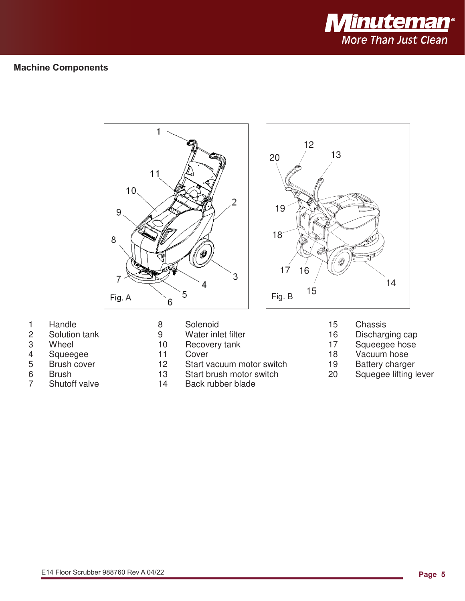

# **Machine Components**





- 
- 
- 
- 
- 
- 
- 
- 1 Handle 1 **8** Solenoid 15 Chassis
- 2 Solution tank 9 9 Water inlet filter 16 Discharging cap<br>3 Wheel 10 Recovery tank 17 Squeeqee hose
	-
	-
- 4 Squeegee 11 Cover<br>
5 Brush cover 12 Start vacuum motor switch 19 Battery charger Start vacuum motor switch
- 6 Brush 13 Start brush motor switch 20 Squegee lifting lever<br>
20 Squegee lifting lever<br>
20 Squegee lifting lever<br>
20 Squegee lifting lever
	- Back rubber blade
- 
- 
- **3** Recovery tank 17 Squeegee hose
	-
	-
	-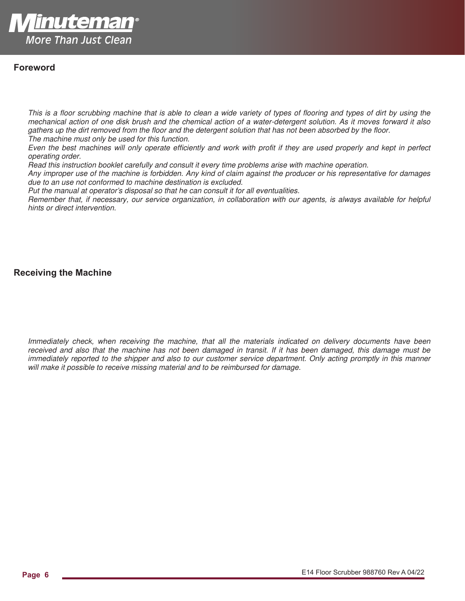

### **Foreword**

This is a floor scrubbing machine that is able to clean a wide variety of types of flooring and types of dirt by using the mechanical action of one disk brush and the chemical action of a water-detergent solution. As it moves forward it also gathers up the dirt removed from the floor and the detergent solution that has not been absorbed by the floor. The machine must only be used for this function.

Even the best machines will only operate efficiently and work with profit if they are used properly and kept in perfect operating order.

Read this instruction booklet carefully and consult it every time problems arise with machine operation.

Any improper use of the machine is forbidden. Any kind of claim against the producer or his representative for damages due to an use not conformed to machine destination is excluded.

Put the manual at operator's disposal so that he can consult it for all eventualities.

Remember that, if necessary, our service organization, in collaboration with our agents, is always available for helpful hints or direct intervention.

#### **Receiving the Machine**

Immediately check, when receiving the machine, that all the materials indicated on delivery documents have been received and also that the machine has not been damaged in transit. If it has been damaged, this damage must be immediately reported to the shipper and also to our customer service department. Only acting promptly in this manner will make it possible to receive missing material and to be reimbursed for damage.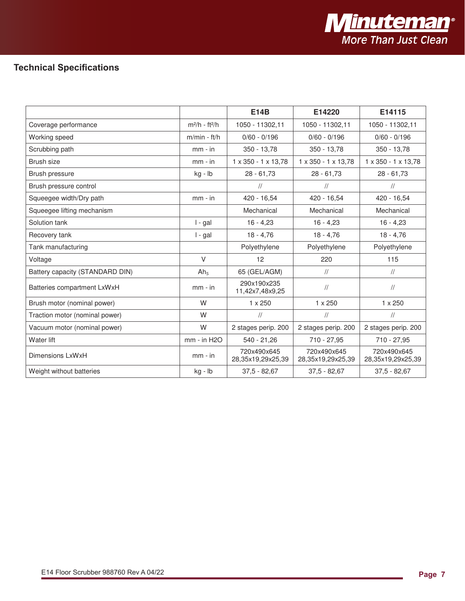

# **Technical Specifications**

|                                 |                  | <b>E14B</b>                      | E14220                           | E14115                           |
|---------------------------------|------------------|----------------------------------|----------------------------------|----------------------------------|
| Coverage performance            | $m^2/h - ft^2/h$ | 1050 - 11302,11                  | 1050 - 11302,11                  | 1050 - 11302,11                  |
| Working speed                   | $m/min - ft/h$   | $0/60 - 0/196$                   | $0/60 - 0/196$                   | $0/60 - 0/196$                   |
| Scrubbing path                  | $mm - in$        | $350 - 13,78$                    | $350 - 13,78$                    | $350 - 13,78$                    |
| Brush size                      | $mm - in$        | 1 x 350 - 1 x 13,78              | 1 x 350 - 1 x 13,78              | 1 x 350 - 1 x 13,78              |
| Brush pressure                  | kg - lb          | $28 - 61,73$                     | $28 - 61,73$                     | $28 - 61,73$                     |
| Brush pressure control          |                  | $\frac{1}{2}$                    | $\frac{1}{2}$                    | $\frac{1}{2}$                    |
| Squeegee width/Dry path         | $mm - in$        | 420 - 16,54                      | 420 - 16,54                      | 420 - 16,54                      |
| Squeegee lifting mechanism      |                  | Mechanical                       | Mechanical                       | Mechanical                       |
| Solution tank                   | $l - gal$        | $16 - 4,23$                      | $16 - 4,23$                      | $16 - 4,23$                      |
| Recovery tank                   | $l - gal$        | $18 - 4,76$                      | $18 - 4,76$                      | $18 - 4,76$                      |
| Tank manufacturing              |                  | Polyethylene                     | Polyethylene                     | Polyethylene                     |
| Voltage                         | $\vee$           | 12                               | 220                              | 115                              |
| Battery capacity (STANDARD DIN) | Ah <sub>5</sub>  | 65 (GEL/AGM)                     | $\frac{1}{2}$                    | $\frac{1}{2}$                    |
| Batteries compartment LxWxH     | $mm - in$        | 290x190x235<br>11,42x7,48x9,25   | $\sqrt{}$                        | $\frac{1}{2}$                    |
| Brush motor (nominal power)     | W                | $1 \times 250$                   | 1 x 250                          | $1 \times 250$                   |
| Traction motor (nominal power)  | W                | $\sqrt{}$                        | $\frac{1}{2}$                    | $\frac{1}{2}$                    |
| Vacuum motor (nominal power)    | W                | 2 stages perip. 200              | 2 stages perip. 200              | 2 stages perip. 200              |
| Water lift                      | $mm - in H2O$    | $540 - 21,26$                    | 710 - 27,95                      | 710 - 27.95                      |
| Dimensions LxWxH                | $mm - in$        | 720x490x645<br>28,35x19,29x25,39 | 720x490x645<br>28,35x19,29x25,39 | 720x490x645<br>28,35x19,29x25,39 |
| Weight without batteries        | kg - Ib          | $37,5 - 82,67$                   | $37,5 - 82,67$                   | $37,5 - 82,67$                   |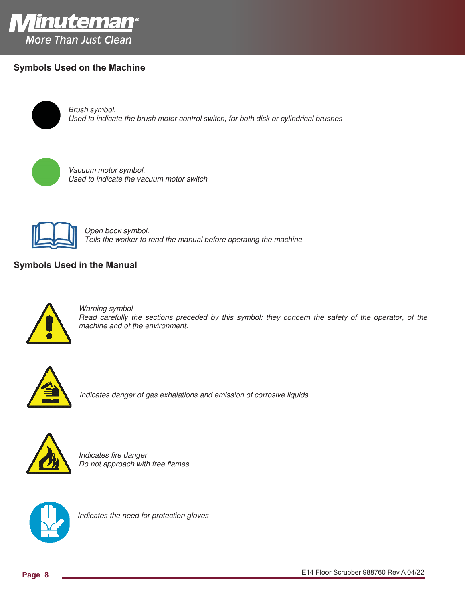

# **Symbols Used on the Machine**



Brush symbol. Used to indicate the brush motor control switch, for both disk or cylindrical brushes



Vacuum motor symbol. Used to indicate the vacuum motor switch



Open book symbol. Tells the worker to read the manual before operating the machine

# **Symbols Used in the Manual**



Warning symbol Read carefully the sections preceded by this symbol: they concern the safety of the operator, of the machine and of the environment.



Indicates danger of gas exhalations and emission of corrosive liquids



Indicates fire danger Do not approach with free flames



Indicates the need for protection gloves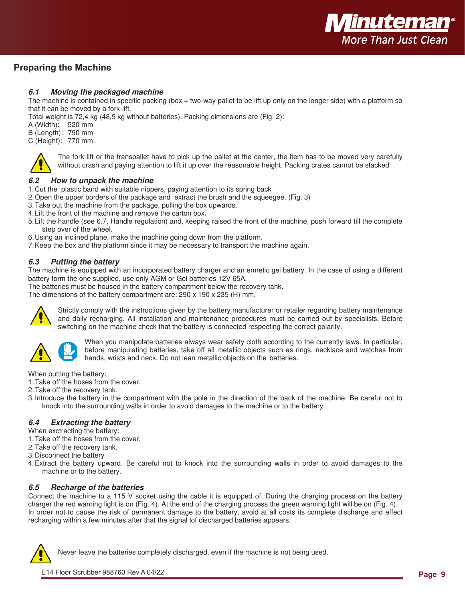

# **Preparing the Machine**

#### *6.1 Moving the packaged machine*

The machine is contained in specific packing (box + two-way pallet to be lift up only on the longer side) with a platform so that it can be moved by a fork-lift.

Total weight is 72,4 kg (48,9 kg without batteries). Packing dimensions are (Fig. 2):

A (Width): 520 mm

B (Length): 790 mm

C (Height): 770 mm



The fork lift or the transpallet have to pick up the pallet at the center, the item has to be moved very carefully without crash and paying attention to lift it up over the reasonable height. Packing crates cannot be stacked.

#### *6.2 How to unpack the machine*

- 1. Cut the plastic band with suitable nippers, paying attention to its spring back
- 2. Open the upper borders of the package and extract the brush and the squeegee. (Fig. 3)
- 3. Take out the machine from the package, pulling the box upwards.
- 4. Lift the front of the machine and remove the carton box.
- 5. Lift the handle (see 6.7, Handle regulation) and, keeping raised the front of the machine, push forward till the complete step over of the wheel.
- 6. Using an inclined plane, make the machine going down from the platform.
- 7. Keep the box and the platform since it may be necessary to transport the machine again.

#### *6.3 Putting the battery*

The machine is equipped with an incorporated battery charger and an ermetic gel battery. In the case of using a different battery form the one supplied, use only AGM or Gel batteries 12V 65A.

The batteries must be housed in the battery compartment below the recovery tank.

The dimensions of the battery compartment are: 290 x 190 x 235 (H) mm.



Strictly comply with the instructions given by the battery manufacturer or retailer regarding battery maintenance and daily recharging. All installation and maintenance procedures must be carried out by specialists. Before switching on the machine check that the battery is connected respecting the correct polarity.



When you manipolate batteries always wear safety cloth according to the currently laws. In particular, before manipulating batteries, take off all metallic objects such as rings, necklace and watches from hands, wrists and neck. Do not lean metallic objects on the batteries.

When putting the battery:

- 1. Take off the hoses from the cover.
- 2. Take off the recovery tank.
- 3. Introduce the battery in the compartment with the pole in the direction of the back of the machine. Be careful not to knock into the surrounding walls in order to avoid damages to the machine or to the battery.

#### *6.4 Extracting the battery*

When exctracting the battery:

- 1. Take off the hoses from the cover.
- 2. Take off the recovery tank.
- 3. Disconnect the battery
- 4. Extract the battery upward. Be careful not to knock into the surrounding walls in order to avoid damages to the machine or to the battery.

#### *6.5 Recharge of the batteries*

Connect the machine to a 115 V socket using the cable it is equipped of. During the charging process on the battery charger the red warning light is on (Fig. 4). At the end of the charging process the green warning light will be on (Fig. 4). In order not to cause the risk of permanent damage to the battery, avoid at all costs its complete discharge and effect recharging within a few minutes after that the signal lof discharged batteries appears.



Never leave the batteries completely discharged, even if the machine is not being used.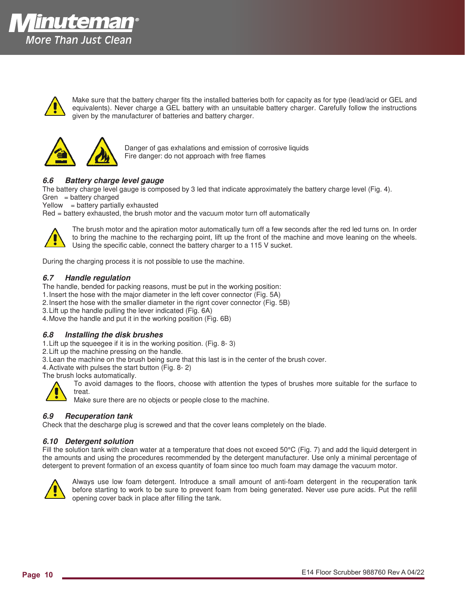



Make sure that the battery charger fits the installed batteries both for capacity as for type (lead/acid or GEL and equivalents). Never charge a GEL battery with an unsuitable battery charger. Carefully follow the instructions given by the manufacturer of batteries and battery charger.



Danger of gas exhalations and emission of corrosive liquids Fire danger: do not approach with free flames

#### *6.6 Battery charge level gauge*

The battery charge level gauge is composed by 3 led that indicate approximately the battery charge level (Fig. 4). Gren = battery charged

Yellow = battery partially exhausted

Red = battery exhausted, the brush motor and the vacuum motor turn off automatically



The brush motor and the apiration motor automatically turn off a few seconds after the red led turns on. In order to bring the machine to the recharging point, lift up the front of the machine and move leaning on the wheels. Using the specific cable, connect the battery charger to a 115 V sucket.

During the charging process it is not possible to use the machine.

#### *6.7 Handle regulation*

The handle, bended for packing reasons, must be put in the working position:

1. Insert the hose with the major diameter in the left cover connector (Fig. 5A)

- 2. Insert the hose with the smaller diameter in the rignt cover connector (Fig. 5B)
- 3. Lift up the handle pulling the lever indicated (Fig. 6A)
- 4. Move the handle and put it in the working position (Fig. 6B)

#### *6.8 Installing the disk brushes*

- 1. Lift up the squeegee if it is in the working position. (Fig. 8- 3)
- 2. Lift up the machine pressing on the handle.
- 3. Lean the machine on the brush being sure that this last is in the center of the brush cover.
- 4. Activate with pulses the start button (Fig. 8- 2)

The brush locks automatically.



treat. Make sure there are no objects or people close to the machine.

#### *6.9 Recuperation tank*

Check that the descharge plug is screwed and that the cover leans completely on the blade.

#### *6.10 Detergent solution*

Fill the solution tank with clean water at a temperature that does not exceed 50°C (Fig. 7) and add the liquid detergent in the amounts and using the procedures recommended by the detergent manufacturer. Use only a minimal percentage of detergent to prevent formation of an excess quantity of foam since too much foam may damage the vacuum motor.



Always use low foam detergent. Introduce a small amount of anti-foam detergent in the recuperation tank before starting to work to be sure to prevent foam from being generated. Never use pure acids. Put the refill opening cover back in place after filling the tank.

To avoid damages to the floors, choose with attention the types of brushes more suitable for the surface to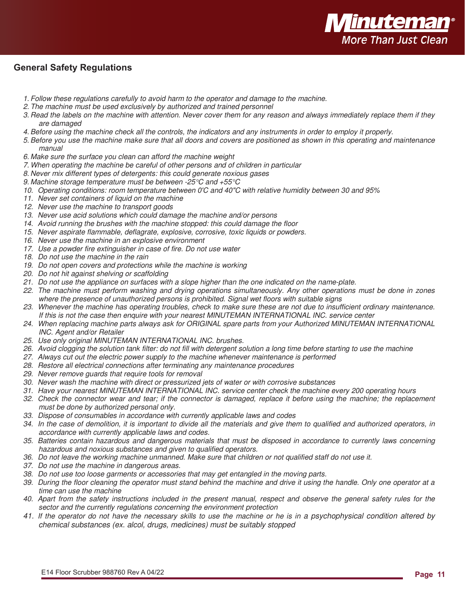

# **General Safety Regulations**

- 1. Follow these regulations carefully to avoid harm to the operator and damage to the machine.
- 2. The machine must be used exclusively by authorized and trained personnel
- 3. Read the labels on the machine with attention. Never cover them for any reason and always immediately replace them if they are damaged
- 4. Before using the machine check all the controls, the indicators and any instruments in order to employ it properly.
- 5. Before you use the machine make sure that all doors and covers are positioned as shown in this operating and maintenance manual
- 6. Make sure the surface you clean can afford the machine weight
- 7. When operating the machine be careful of other persons and of children in particular
- 8. Never mix different types of detergents: this could generate noxious gases
- 9. Machine storage temperature must be between -25 $\degree$ C and +55 $\degree$ C
- 10. Operating conditions: room temperature between 0'C and 40"C with relative humidity between 30 and 95%
- 11. Never set containers of liquid on the machine
- 12. Never use the machine to transport goods
- 13. Never use acid solutions which could damage the machine and/or persons
- 14. Avoid running the brushes with the machine stopped: this could damage the floor
- 15. Never aspirate flammable, deflagrate, explosive, corrosive, toxic liquids or powders.
- 16. Never use the machine in an explosive environment
- 17. Use a powder fire extinguisher in case of fire. Do not use water
- 18. Do not use the machine in the rain
- 19. Do not open covers and protections while the machine is working
- 20. Do not hit against shelving or scaffolding
- 21. Do not use the appliance on surfaces with a slope higher than the one indicated on the name-plate.
- 22. The machine must perform washing and drying operations simultaneously. Any other operations must be done in zones where the presence of unauthorized persons is prohibited. Signal wet floors with suitable signs
- 23. Whenever the machine has operating troubles, check to make sure these are not due to insufficient ordinary maintenance. If this is not the case then enquire with your nearest MINUTEMAN INTERNATIONAL INC. service center
- 24. When replacing machine parts always ask for ORIGINAL spare parts from your Authorized MINUTEMAN INTERNATIONAL INC. Agent and/or Retailer
- 25. Use only original MINUTEMAN INTERNATIONAL INC. brushes.
- 26. Avoid clogging the solution tank filter: do not fill with detergent solution a long time before starting to use the machine
- 27. Always cut out the electric power supply to the machine whenever maintenance is performed
- 28. Restore all electrical connections after terminating any maintenance procedures
- 29. Never remove guards that require tools for removal
- 30. Never wash the machine with direct or pressurized jets of water or with corrosive substances
- 31. Have your nearest MINUTEMAN INTERNATIONAL INC. service center check the machine every 200 operating hours
- 32. Check the connector wear and tear; if the connector is damaged, replace it before using the machine; the replacement must be done by authorized personal only.
- 33. Dispose of consumables in accordance with currently applicable laws and codes
- 34. In the case of demolition, it is important to divide all the materials and give them to qualified and authorized operators, in accordance with currently applicable laws and codes.
- 35. Batteries contain hazardous and dangerous materials that must be disposed in accordance to currently laws concerning hazardous and noxious substances and given to qualified operators.
- 36. Do not leave the working machine unmanned. Make sure that children or not qualified staff do not use it.
- 37. Do not use the machine in dangerous areas.
- 38. Do not use too loose garments or accessories that may get entangled in the moving parts.
- 39. During the floor cleaning the operator must stand behind the machine and drive it using the handle. Only one operator at a time can use the machine
- 40. Apart from the safety instructions included in the present manual, respect and observe the general safety rules for the sector and the currently regulations concerning the environment protection
- 41. If the operator do not have the necessary skills to use the machine or he is in a psychophysical condition altered by chemical substances (ex. alcol, drugs, medicines) must be suitably stopped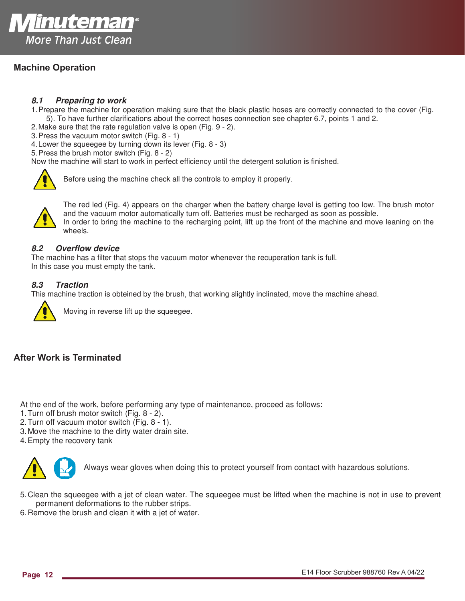

# **Machine Operation**

#### *8.1 Preparing to work*

- 1. Prepare the machine for operation making sure that the black plastic hoses are correctly connected to the cover (Fig. 5). To have further clarifications about the correct hoses connection see chapter 6.7, points 1 and 2.
- 2. Make sure that the rate regulation valve is open (Fig. 9 2).
- 3. Press the vacuum motor switch (Fig. 8 1)
- 4. Lower the squeegee by turning down its lever (Fig. 8 3)
- 5. Press the brush motor switch (Fig. 8 2)

Now the machine will start to work in perfect efficiency until the detergent solution is finished.



Before using the machine check all the controls to employ it properly.



The red led (Fig. 4) appears on the charger when the battery charge level is getting too low. The brush motor and the vacuum motor automatically turn off. Batteries must be recharged as soon as possible. In order to bring the machine to the recharging point, lift up the front of the machine and move leaning on the wheels.

#### *8.2 Overflow device*

The machine has a filter that stops the vacuum motor whenever the recuperation tank is full. In this case you must empty the tank.

#### *8.3 Traction*

This machine traction is obteined by the brush, that working slightly inclinated, move the machine ahead.



Moving in reverse lift up the squeegee.

## **After Work is Terminated**

At the end of the work, before performing any type of maintenance, proceed as follows:

- 1. Turn off brush motor switch (Fig. 8 2).
- 2. Turn off vacuum motor switch (Fig. 8 1).
- 3. Move the machine to the dirty water drain site.
- 4. Empty the recovery tank



Always wear gloves when doing this to protect yourself from contact with hazardous solutions.

- 5. Clean the squeegee with a jet of clean water. The squeegee must be lifted when the machine is not in use to prevent permanent deformations to the rubber strips.
- 6. Remove the brush and clean it with a jet of water.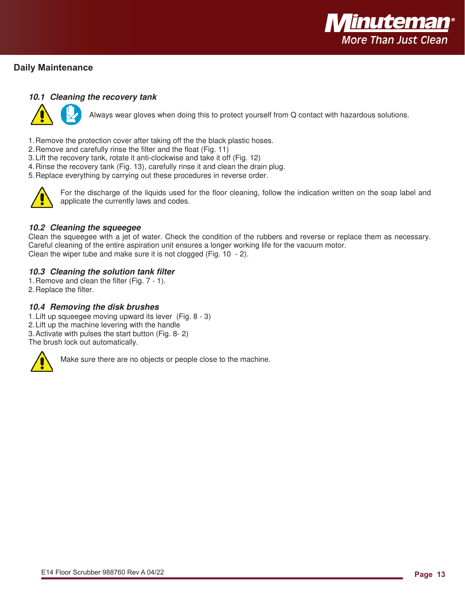

## **Daily Maintenance**

#### *10.1 Cleaning the recovery tank*



Always wear gloves when doing this to protect yourself from Q contact with hazardous solutions.

- 1. Remove the protection cover after taking off the the black plastic hoses.
- 2. Remove and carefully rinse the filter and the float (Fig. 11)
- 3. Lift the recovery tank, rotate it anti-clockwise and take it off (Fig. 12)
- 4. Rinse the recovery tank (Fig. 13), carefully rinse it and clean the drain plug.
- 5. Replace everything by carrying out these procedures in reverse order.



For the discharge of the liquids used for the floor cleaning, follow the indication written on the soap label and applicate the currently laws and codes.

#### *10.2 Cleaning the squeegee*

Clean the squeegee with a jet of water. Check the condition of the rubbers and reverse or replace them as necessary. Careful cleaning of the entire aspiration unit ensures a longer working life for the vacuum motor. Clean the wiper tube and make sure it is not clogged (Fig. 10 - 2).

#### *10.3 Cleaning the solution tank filter*

1. Remove and clean the filter (Fig. 7 - 1). 2. Replace the filter.

#### *10.4 Removing the disk brushes*

1. Lift up squeegee moving upward its lever (Fig. 8 - 3) 2. Lift up the machine levering with the handle 3. Activate with pulses the start button (Fig. 8- 2) The brush lock out automatically.



Make sure there are no objects or people close to the machine.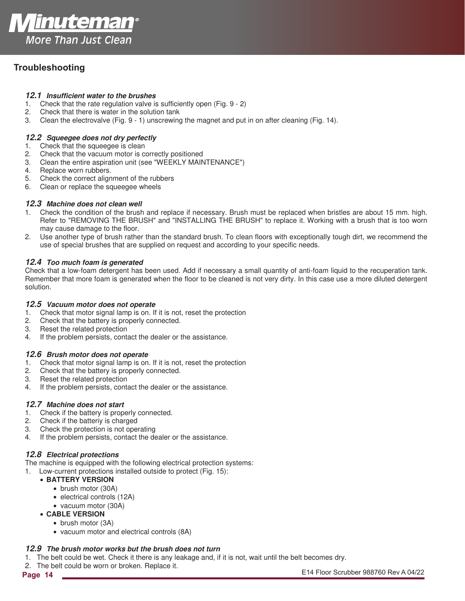

# **Troubleshooting**

#### *12.1 Insufficient water to the brushes*

- 1. Check that the rate regulation valve is sufficiently open (Fig. 9 2)
- 2. Check that there is water in the solution tank
- 3. Clean the electrovalve (Fig. 9 1) unscrewing the magnet and put in on after cleaning (Fig. 14).

#### *12.2 Squeegee does not dry perfectly*

- 1. Check that the squeegee is clean
- 2. Check that the vacuum motor is correctly positioned
- 3. Clean the entire aspiration unit (see "WEEKLY MAINTENANCE")
- 4. Replace worn rubbers.
- 5. Check the correct alignment of the rubbers
- 6. Clean or replace the squeegee wheels

#### *12.3 Machine does not clean well*

- 1. Check the condition of the brush and replace if necessary. Brush must be replaced when bristles are about 15 mm. high. Refer to "REMOVING THE BRUSH" and "INSTALLING THE BRUSH" to replace it. Working with a brush that is too worn may cause damage to the floor.
- 2. Use another type of brush rather than the standard brush. To clean floors with exceptionally tough dirt, we recommend the use of special brushes that are supplied on request and according to your specific needs.

#### *12.4 Too much foam is generated*

Check that a low-foam detergent has been used. Add if necessary a small quantity of anti-foam liquid to the recuperation tank. Remember that more foam is generated when the floor to be cleaned is not very dirty. In this case use a more diluted detergent solution.

#### *12.5 Vacuum motor does not operate*

- 1. Check that motor signal lamp is on. If it is not, reset the protection
- 2. Check that the battery is properly connected.
- 3. Reset the related protection
- 4. If the problem persists, contact the dealer or the assistance.

#### *12.6 Brush motor does not operate*

- 1. Check that motor signal lamp is on. If it is not, reset the protection
- 2. Check that the battery is properly connected.
- 3. Reset the related protection
- 4. If the problem persists, contact the dealer or the assistance.

#### *12.7 Machine does not start*

- 1. Check if the battery is properly connected.
- 2. Check if the batteriy is charged
- 3. Check the protection is not operating
- 4. If the problem persists, contact the dealer or the assistance.

#### *12.8 Electrical protections*

- The machine is equipped with the following electrical protection systems:
- 1. Low-current protections installed outside to protect (Fig. 15):
	- **BATTERY VERSION** 
		- brush motor (30A)
		- electrical controls (12A)
		- vacuum motor (30A)
	- **CABLE VERSION** 
		- brush motor (3A)
		- vacuum motor and electrical controls (8A)

#### *12.9 The brush motor works but the brush does not turn*

- 1. The belt could be wet. Check it there is any leakage and, if it is not, wait until the belt becomes dry.
- 2. The belt could be worn or broken. Replace it.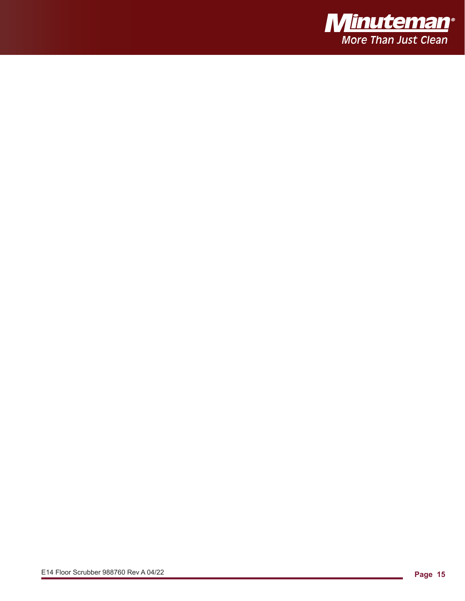